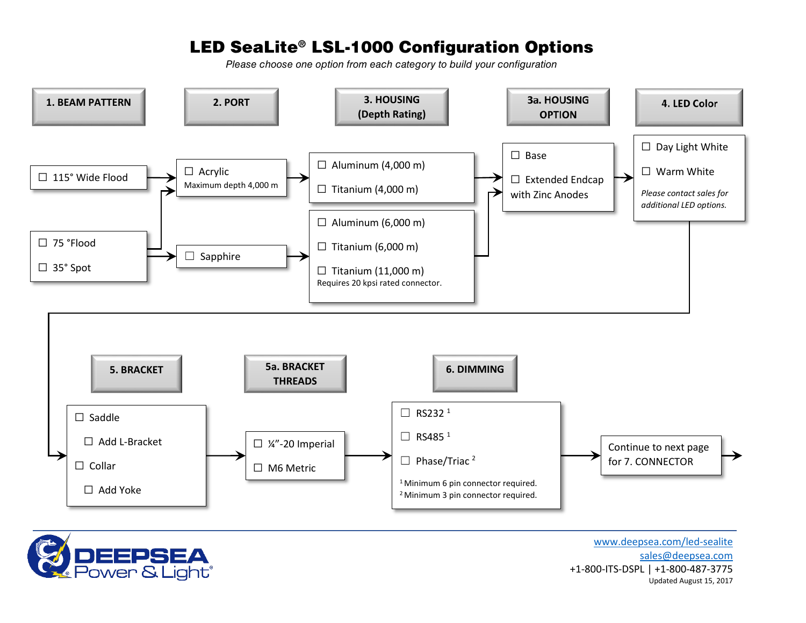## LED SeaLite® LSL-1000 Configuration Options

*Please choose one option from each category to build your configuration*





[www.deepsea.com/led-sealite](http://www.deepsea.com/led-sealite) [sales@deepsea.com](mailto:sales@deepsea.com) +1-800-ITS-DSPL | +1-800-487-3775 Updated August 15, 2017